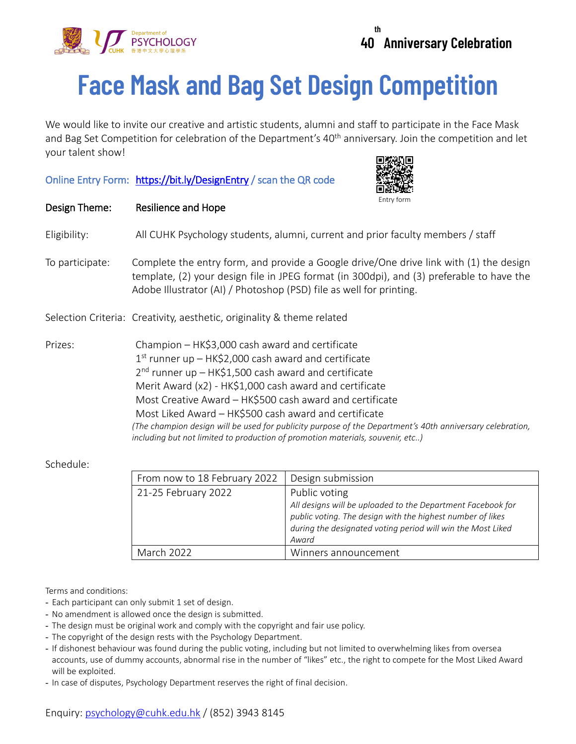

## **Face Mask and Bag Set Design Competition**

We would like to invite our creative and artistic students, alumni and staff to participate in the Face Mask and Bag Set Competition for celebration of the Department's 40<sup>th</sup> anniversary. Join the competition and let your talent show!

## Online Entry Form: <https://bit.ly/DesignEntry>/ scan the QR code



| Design Theme:   | Entry form<br>Resilience and Hope                                                                                                                                                                                                                                                                                                                                                                                                                                                                                                                  |
|-----------------|----------------------------------------------------------------------------------------------------------------------------------------------------------------------------------------------------------------------------------------------------------------------------------------------------------------------------------------------------------------------------------------------------------------------------------------------------------------------------------------------------------------------------------------------------|
| Eligibility:    | All CUHK Psychology students, alumni, current and prior faculty members / staff                                                                                                                                                                                                                                                                                                                                                                                                                                                                    |
| To participate: | Complete the entry form, and provide a Google drive/One drive link with (1) the design<br>template, (2) your design file in JPEG format (in 300dpi), and (3) preferable to have the<br>Adobe Illustrator (AI) / Photoshop (PSD) file as well for printing.                                                                                                                                                                                                                                                                                         |
|                 | Selection Criteria: Creativity, aesthetic, originality & theme related                                                                                                                                                                                                                                                                                                                                                                                                                                                                             |
| Prizes:         | Champion - HK\$3,000 cash award and certificate<br>$1st$ runner up – HK\$2,000 cash award and certificate<br>$2nd$ runner up - HK\$1,500 cash award and certificate<br>Merit Award (x2) - HK\$1,000 cash award and certificate<br>Most Creative Award - HK\$500 cash award and certificate<br>Most Liked Award - HK\$500 cash award and certificate<br>(The champion design will be used for publicity purpose of the Department's 40th anniversary celebration,<br>including but not limited to production of promotion materials, souvenir, etc) |

## Schedule:

| From now to 18 February 2022 | Design submission                                                                                                                                                                                                  |
|------------------------------|--------------------------------------------------------------------------------------------------------------------------------------------------------------------------------------------------------------------|
| 21-25 February 2022          | Public voting<br>All designs will be uploaded to the Department Facebook for<br>public voting. The design with the highest number of likes<br>during the designated voting period will win the Most Liked<br>Award |
| March 2022                   | Winners announcement                                                                                                                                                                                               |

Terms and conditions:

- Each participant can only submit 1 set of design.
- No amendment is allowed once the design is submitted.
- The design must be original work and comply with the copyright and fair use policy.
- The copyright of the design rests with the Psychology Department.
- If dishonest behaviour was found during the public voting, including but not limited to overwhelming likes from oversea accounts, use of dummy accounts, abnormal rise in the number of "likes" etc., the right to compete for the Most Liked Award will be exploited.
- In case of disputes, Psychology Department reserves the right of final decision.